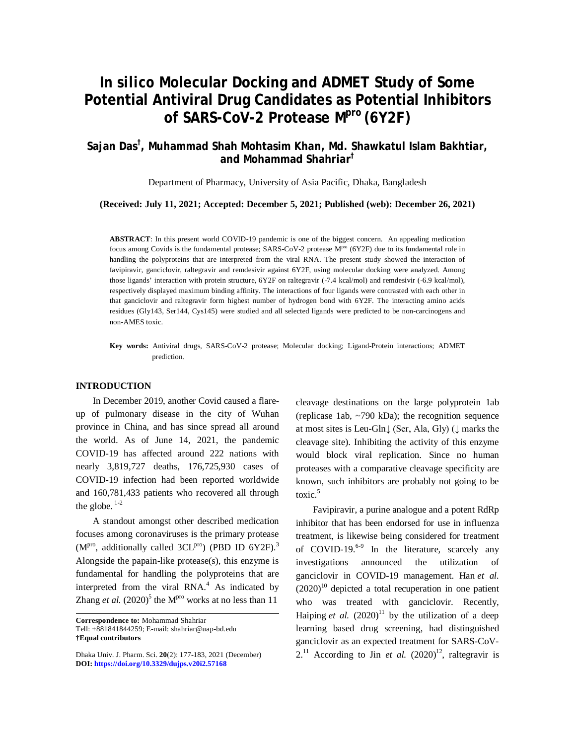# *In silico* **Molecular Docking and ADMET Study of Some Potential Antiviral Drug Candidates as Potential Inhibitors of SARS-CoV-2 Protease Mpro (6Y2F)**

# **Sajan Das† , Muhammad Shah Mohtasim Khan, Md. Shawkatul Islam Bakhtiar, and Mohammad Shahriar†**

Department of Pharmacy, University of Asia Pacific, Dhaka, Bangladesh

## **(Received: July 11, 2021; Accepted: December 5, 2021; Published (web): December 26, 2021)**

**ABSTRACT**: In this present world COVID-19 pandemic is one of the biggest concern. An appealing medication focus among Covids is the fundamental protease; SARS-CoV-2 protease M<sup>pro</sup> (6Y2F) due to its fundamental role in handling the polyproteins that are interpreted from the viral RNA. The present study showed the interaction of favipiravir, ganciclovir, raltegravir and remdesivir against 6Y2F, using molecular docking were analyzed. Among those ligands' interaction with protein structure, 6Y2F on raltegravir (-7.4 kcal/mol) and remdesivir (-6.9 kcal/mol), respectively displayed maximum binding affinity. The interactions of four ligands were contrasted with each other in that ganciclovir and raltegravir form highest number of hydrogen bond with 6Y2F. The interacting amino acids residues (Gly143, Ser144, Cys145) were studied and all selected ligands were predicted to be non-carcinogens and non-AMES toxic.

**Key words:** Antiviral drugs, SARS-CoV-2 protease; Molecular docking; Ligand-Protein interactions; ADMET prediction.

#### **INTRODUCTION**

In December 2019, another Covid caused a flareup of pulmonary disease in the city of Wuhan province in China, and has since spread all around the world. As of June 14, 2021, the pandemic COVID-19 has affected around 222 nations with nearly 3,819,727 deaths, 176,725,930 cases of COVID-19 infection had been reported worldwide and 160,781,433 patients who recovered all through the globe.  $1-2$ 

A standout amongst other described medication focuses among coronaviruses is the primary protease  $(M<sup>pro</sup>)$ , additionally called 3CL<sup>pro</sup>) (PBD ID 6Y2F).<sup>3</sup> Alongside the papain-like protease(s), this enzyme is fundamental for handling the polyproteins that are interpreted from the viral  $RNA<sup>4</sup>$  As indicated by Zhang *et al.*  $(2020)^5$  the M<sup>pro</sup> works at no less than 11

**Correspondence to:** Mohammad Shahriar Tell: +881841844259; E-mail: [shahriar@uap-bd.edu](mailto:shahriar@uap-bd.edu) **†Equal contributors**

cleavage destinations on the large polyprotein 1ab (replicase 1ab, ~790 kDa); the recognition sequence at most sites is Leu-Gln↓ (Ser, Ala, Gly) (↓ marks the cleavage site). Inhibiting the activity of this enzyme would block viral replication. Since no human proteases with a comparative cleavage specificity are known, such inhibitors are probably not going to be toxic.<sup>5</sup>

Favipiravir, a purine analogue and a potent RdRp inhibitor that has been endorsed for use in influenza treatment, is likewise being considered for treatment of COVID-19. $6-9$  In the literature, scarcely any investigations announced the utilization of ganciclovir in COVID-19 management. Han *et al.*  $(2020)^{10}$  depicted a total recuperation in one patient who was treated with ganciclovir. Recently, Haiping *et al.*  $(2020)^{11}$  by the utilization of a deep learning based drug screening, had distinguished ganciclovir as an expected treatment for SARS-CoV- $2.^{11}$  According to Jin *et al.*  $(2020)^{12}$ , raltegravir is

Dhaka Univ. J. Pharm. Sci. **20**(2): 177-183, 2021 (December) **DOI:<https://doi.org/10.3329/dujps.v20i2.57168>**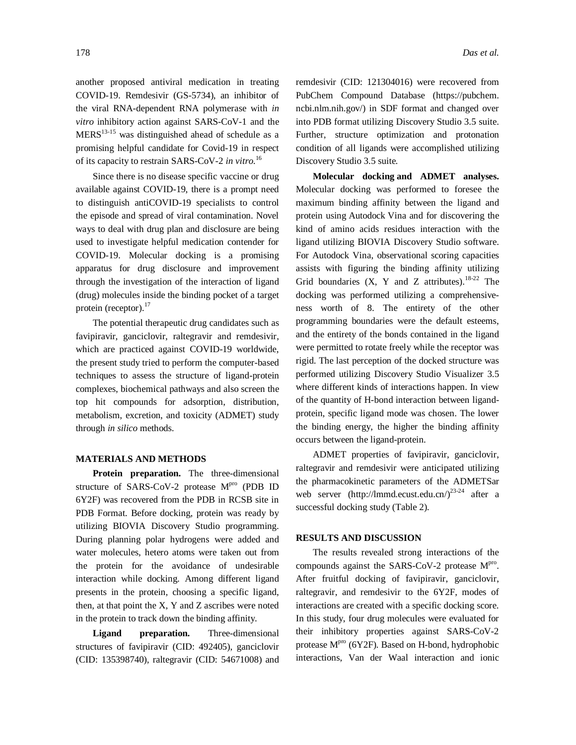another proposed antiviral medication in treating COVID-19. Remdesivir (GS-5734), an inhibitor of the viral RNA-dependent RNA polymerase with *in vitro* inhibitory action against SARS-CoV-1 and the  $MERS<sup>13-15</sup>$  was distinguished ahead of schedule as a promising helpful candidate for Covid-19 in respect of its capacity to restrain SARS-CoV-2 *in vitro*. 16

Since there is no disease specific vaccine or drug available against COVID-19, there is a prompt need to distinguish antiCOVID-19 specialists to control the episode and spread of viral contamination. Novel ways to deal with drug plan and disclosure are being used to investigate helpful medication contender for COVID-19. Molecular docking is a promising apparatus for drug disclosure and improvement through the investigation of the interaction of ligand (drug) molecules inside the binding pocket of a target protein (receptor).<sup>17</sup>

The potential therapeutic drug candidates such as favipiravir, ganciclovir, raltegravir and remdesivir, which are practiced against COVID-19 worldwide, the present study tried to perform the computer-based techniques to assess the structure of ligand-protein complexes, biochemical pathways and also screen the top hit compounds for adsorption, distribution, metabolism, excretion, and toxicity (ADMET) study through *in silico* methods.

#### **MATERIALS AND METHODS**

**Protein preparation.** The three-dimensional structure of SARS-CoV-2 protease M<sup>pro</sup> (PDB ID 6Y2F) was recovered from the PDB in RCSB site in PDB Format. Before docking, protein was ready by utilizing BIOVIA Discovery Studio programming. During planning polar hydrogens were added and water molecules, hetero atoms were taken out from the protein for the avoidance of undesirable interaction while docking. Among different ligand presents in the protein, choosing a specific ligand, then, at that point the X, Y and Z ascribes were noted in the protein to track down the binding affinity.

**Ligand preparation.** Three-dimensional structures of favipiravir (CID: 492405), ganciclovir (CID: 135398740), raltegravir (CID: 54671008) and remdesivir (CID: 121304016) were recovered from PubChem Compound Database (<https://pubchem.> ncbi.nlm.nih.gov/) in SDF format and changed over into PDB format utilizing Discovery Studio 3.5 suite. Further, structure optimization and protonation condition of all ligands were accomplished utilizing Discovery Studio 3.5 suite.

**Molecular docking and ADMET analyses.** Molecular docking was performed to foresee the maximum binding affinity between the ligand and protein using Autodock Vina and for discovering the kind of amino acids residues interaction with the ligand utilizing BIOVIA Discovery Studio software. For Autodock Vina, observational scoring capacities assists with figuring the binding affinity utilizing Grid boundaries  $(X, Y \text{ and } Z \text{ attributes})$ .<sup>18-22</sup> The docking was performed utilizing a comprehensiveness worth of 8. The entirety of the other programming boundaries were the default esteems, and the entirety of the bonds contained in the ligand were permitted to rotate freely while the receptor was rigid. The last perception of the docked structure was performed utilizing Discovery Studio Visualizer 3.5 where different kinds of interactions happen. In view of the quantity of H-bond interaction between ligandprotein, specific ligand mode was chosen. The lower the binding energy, the higher the binding affinity occurs between the ligand-protein.

ADMET properties of favipiravir, ganciclovir, raltegravir and remdesivir were anticipated utilizing the pharmacokinetic parameters of the ADMETSar web server [\(http://lmmd.ecust.edu.cn/\)](http://lmmd.ecust.edu.cn/))<sup>23-24</sup> after a successful docking study (Table 2).

## **RESULTS AND DISCUSSION**

The results revealed strong interactions of the compounds against the SARS-CoV-2 protease  $M<sup>pro</sup>$ . After fruitful docking of favipiravir, ganciclovir, raltegravir, and remdesivir to the 6Y2F, modes of interactions are created with a specific docking score. In this study, four drug molecules were evaluated for their inhibitory properties against SARS-CoV-2 protease  $M<sup>pro</sup>$  (6Y2F). Based on H-bond, hydrophobic interactions, Van der Waal interaction and ionic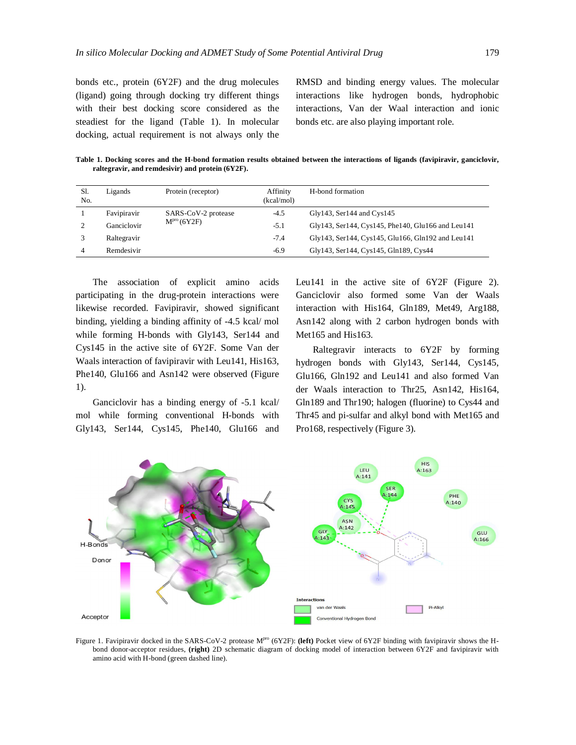bonds etc., protein (6Y2F) and the drug molecules (ligand) going through docking try different things with their best docking score considered as the steadiest for the ligand (Table 1). In molecular docking, actual requirement is not always only the RMSD and binding energy values. The molecular interactions like hydrogen bonds, hydrophobic interactions, Van der Waal interaction and ionic bonds etc. are also playing important role.

**Table 1. Docking scores and the H-bond formation results obtained between the interactions of ligands (favipiravir, ganciclovir, raltegravir, and remdesivir) and protein (6Y2F).**

| Sl.<br>No. | Ligands     | Protein (receptor)      | Affinity<br>(kcal/mol) | H-bond formation                                  |
|------------|-------------|-------------------------|------------------------|---------------------------------------------------|
|            | Favipiravir | SARS-CoV-2 protease     | $-4.5$                 | $Gly143$ , Ser144 and $Cys145$                    |
|            | Ganciclovir | M <sup>pro</sup> (6Y2F) | $-5.1$                 | Gly143, Ser144, Cys145, Phe140, Glu166 and Leu141 |
|            | Raltegravir |                         | $-7.4$                 | Gly143, Ser144, Cys145, Glu166, Gln192 and Leu141 |
| 4          | Remdesivir  |                         | $-6.9$                 | Gly143, Ser144, Cys145, Gln189, Cys44             |

The association of explicit amino acids participating in the drug-protein interactions were likewise recorded. Favipiravir, showed significant binding, yielding a binding affinity of -4.5 kcal/ mol while forming H-bonds with Gly143, Ser144 and Cys145 in the active site of 6Y2F. Some Van der Waals interaction of favipiravir with Leu141, His163, Phe140, Glu166 and Asn142 were observed (Figure 1).

Ganciclovir has a binding energy of -5.1 kcal/ mol while forming conventional H-bonds with Gly143, Ser144, Cys145, Phe140, Glu166 and Leu141 in the active site of 6Y2F (Figure 2). Ganciclovir also formed some Van der Waals interaction with His164, Gln189, Met49, Arg188, Asn142 along with 2 carbon hydrogen bonds with Met165 and His163.

Raltegravir interacts to 6Y2F by forming hydrogen bonds with Gly143, Ser144, Cys145, Glu166, Gln192 and Leu141 and also formed Van der Waals interaction to Thr25, Asn142, His164, Gln189 and Thr190; halogen (fluorine) to Cys44 and Thr45 and pi-sulfar and alkyl bond with Met165 and Pro168, respectively (Figure 3).



Figure 1. Favipiravir docked in the SARS-CoV-2 protease M<sup>pro</sup> (6Y2F): **(left)** Pocket view of 6Y2F binding with favipiravir shows the Hbond donor-acceptor residues, **(right)** 2D schematic diagram of docking model of interaction between 6Y2F and favipiravir with amino acid with H-bond (green dashed line).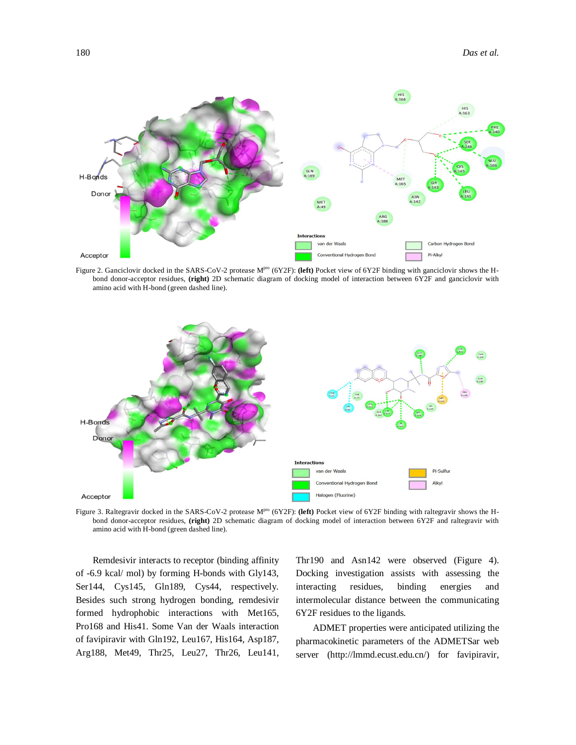

Figure 2. Ganciclovir docked in the SARS-CoV-2 protease M<sup>pro</sup> (6Y2F): **(left)** Pocket view of 6Y2F binding with ganciclovir shows the Hbond donor-acceptor residues, **(right)** 2D schematic diagram of docking model of interaction between 6Y2F and ganciclovir with amino acid with H-bond (green dashed line).



Figure 3. Raltegravir docked in the SARS-CoV-2 protease M<sup>pro</sup> (6Y2F): (left) Pocket view of 6Y2F binding with raltegravir shows the Hbond donor-acceptor residues, **(right)** 2D schematic diagram of docking model of interaction between 6Y2F and raltegravir with amino acid with H-bond (green dashed line).

Remdesivir interacts to receptor (binding affinity of -6.9 kcal/ mol) by forming H-bonds with Gly143, Ser144, Cys145, Gln189, Cys44, respectively. Besides such strong hydrogen bonding, remdesivir formed hydrophobic interactions with Met165, Pro168 and His41. Some Van der Waals interaction of favipiravir with Gln192, Leu167, His164, Asp187, Arg188, Met49, Thr25, Leu27, Thr26, Leu141, Thr190 and Asn142 were observed (Figure 4). Docking investigation assists with assessing the interacting residues, binding energies and intermolecular distance between the communicating 6Y2F residues to the ligands.

ADMET properties were anticipated utilizing the pharmacokinetic parameters of the ADMETSar web server [\(http://lmmd.ecust.edu.cn/\)](http://lmmd.ecust.edu.cn/)) for favipiravir,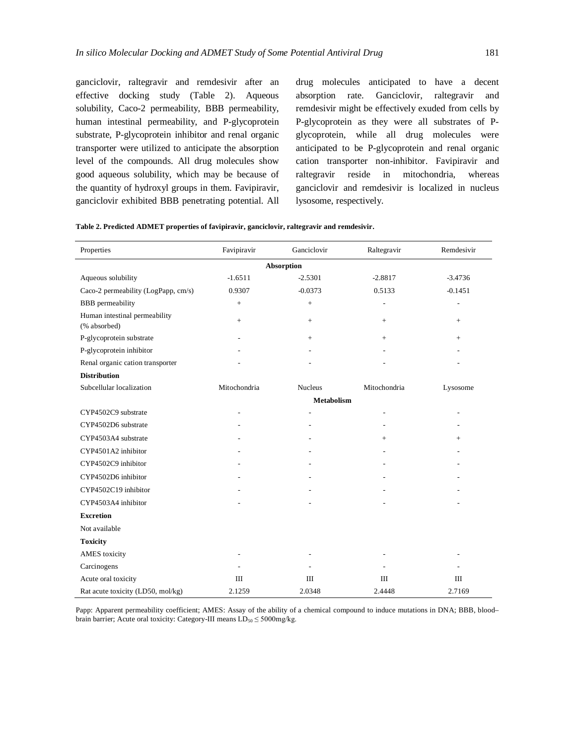ganciclovir, raltegravir and remdesivir after an effective docking study (Table 2). Aqueous solubility, Caco-2 permeability, BBB permeability, human intestinal permeability, and P-glycoprotein substrate, P-glycoprotein inhibitor and renal organic transporter were utilized to anticipate the absorption level of the compounds. All drug molecules show good aqueous solubility, which may be because of the quantity of hydroxyl groups in them. Favipiravir, ganciclovir exhibited BBB penetrating potential. All

drug molecules anticipated to have a decent absorption rate. Ganciclovir, raltegravir and remdesivir might be effectively exuded from cells by P-glycoprotein as they were all substrates of Pglycoprotein, while all drug molecules were anticipated to be P-glycoprotein and renal organic cation transporter non-inhibitor. Favipiravir and raltegravir reside in mitochondria, whereas ganciclovir and remdesivir is localized in nucleus lysosome, respectively.

| Table 2. Predicted ADMET properties of favipiravir, ganciclovir, raltegravir and remdesivir. |  |  |  |  |  |
|----------------------------------------------------------------------------------------------|--|--|--|--|--|
|----------------------------------------------------------------------------------------------|--|--|--|--|--|

| Properties                                    | Favipiravir       | Ganciclovir    | Raltegravir    | Remdesivir     |  |  |  |  |  |  |
|-----------------------------------------------|-------------------|----------------|----------------|----------------|--|--|--|--|--|--|
| <b>Absorption</b>                             |                   |                |                |                |  |  |  |  |  |  |
| Aqueous solubility                            | $-1.6511$         | $-2.5301$      | $-2.8817$      | $-3.4736$      |  |  |  |  |  |  |
| Caco-2 permeability (LogPapp, cm/s)           | 0.9307            | $-0.0373$      | 0.5133         | $-0.1451$      |  |  |  |  |  |  |
| <b>BBB</b> permeability                       | $\! +$            | $^{+}$         | $\overline{a}$ | ÷              |  |  |  |  |  |  |
| Human intestinal permeability<br>(% absorbed) | $\! +$            | $^{+}$         | $+$            | $^{+}$         |  |  |  |  |  |  |
| P-glycoprotein substrate                      |                   | $^{+}$         | $+$            | $^{+}$         |  |  |  |  |  |  |
| P-glycoprotein inhibitor                      |                   |                |                |                |  |  |  |  |  |  |
| Renal organic cation transporter              |                   |                |                |                |  |  |  |  |  |  |
| <b>Distribution</b>                           |                   |                |                |                |  |  |  |  |  |  |
| Subcellular localization                      | Mitochondria      | <b>Nucleus</b> | Mitochondria   | Lysosome       |  |  |  |  |  |  |
|                                               | <b>Metabolism</b> |                |                |                |  |  |  |  |  |  |
| CYP4502C9 substrate                           |                   |                |                |                |  |  |  |  |  |  |
| CYP4502D6 substrate                           |                   |                |                |                |  |  |  |  |  |  |
| CYP4503A4 substrate                           |                   |                | $+$            | $+$            |  |  |  |  |  |  |
| CYP4501A2 inhibitor                           |                   |                |                | $\overline{a}$ |  |  |  |  |  |  |
| CYP4502C9 inhibitor                           |                   |                |                |                |  |  |  |  |  |  |
| CYP4502D6 inhibitor                           |                   |                |                |                |  |  |  |  |  |  |
| CYP4502C19 inhibitor                          |                   |                |                |                |  |  |  |  |  |  |
| CYP4503A4 inhibitor                           |                   |                |                |                |  |  |  |  |  |  |
| <b>Excretion</b>                              |                   |                |                |                |  |  |  |  |  |  |
| Not available                                 |                   |                |                |                |  |  |  |  |  |  |
| <b>Toxicity</b>                               |                   |                |                |                |  |  |  |  |  |  |
| <b>AMES</b> toxicity                          |                   |                |                |                |  |  |  |  |  |  |
| Carcinogens                                   |                   |                |                |                |  |  |  |  |  |  |
| Acute oral toxicity                           | Ш                 | Ш              | $\mathbf{I}$   | Ш              |  |  |  |  |  |  |
| Rat acute toxicity (LD50, mol/kg)             | 2.1259            | 2.0348         | 2.4448         | 2.7169         |  |  |  |  |  |  |

Papp: Apparent permeability coefficient; AMES: Assay of the ability of a chemical compound to induce mutations in DNA; BBB, bloodbrain barrier; Acute oral toxicity: Category-III means  $LD_{50} \leq 5000$  mg/kg.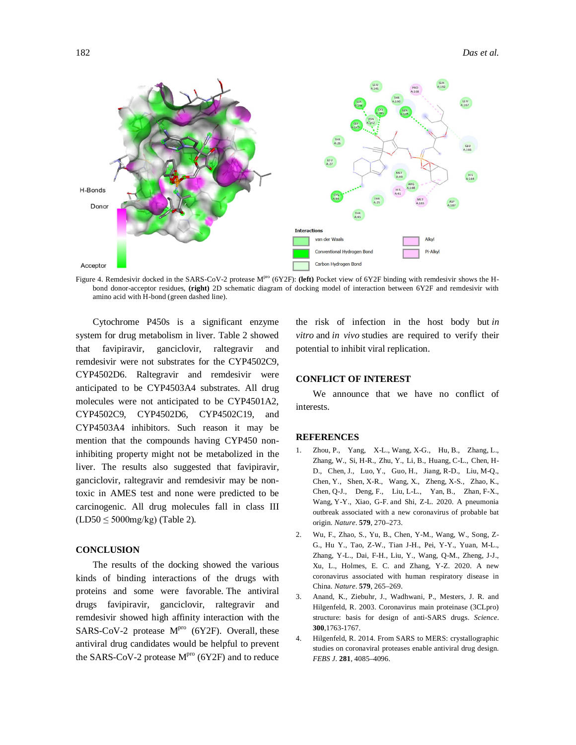

Figure 4. Remdesivir docked in the SARS-CoV-2 protease M<sup>pro</sup> (6Y2F): (left) Pocket view of 6Y2F binding with remdesivir shows the Hbond donor-acceptor residues, **(right)** 2D schematic diagram of docking model of interaction between 6Y2F and remdesivir with amino acid with H-bond (green dashed line).

Cytochrome P450s is a significant enzyme system for drug metabolism in liver. Table 2 showed that favipiravir, ganciclovir, raltegravir and remdesivir were not substrates for the CYP4502C9, CYP4502D6. Raltegravir and remdesivir were anticipated to be CYP4503A4 substrates. All drug molecules were not anticipated to be CYP4501A2, CYP4502C9, CYP4502D6, CYP4502C19, and CYP4503A4 inhibitors. Such reason it may be mention that the compounds having CYP450 noninhibiting property might not be metabolized in the liver. The results also suggested that favipiravir, ganciclovir, raltegravir and remdesivir may be nontoxic in AMES test and none were predicted to be carcinogenic. All drug molecules fall in class III  $(LD50 \leq 5000$ mg/kg) (Table 2).

# **CONCLUSION**

The results of the docking showed the various kinds of binding interactions of the drugs with proteins and some were favorable. The antiviral drugs favipiravir, ganciclovir, raltegravir and remdesivir showed high affinity interaction with the SARS-CoV-2 protease  $M<sup>pro</sup>$  (6Y2F). Overall, these antiviral drug candidates would be helpful to prevent the SARS-CoV-2 protease  $M<sup>pro</sup>$  (6Y2F) and to reduce

the risk of infection in the host body but *in vitro* and *in vivo* studies are required to verify their potential to inhibit viral replication.

# **CONFLICT OF INTEREST**

We announce that we have no conflict of interests.

#### **REFERENCES**

- 1. Zhou, P., Yang, X-L., Wang, X-G., Hu, B., Zhang, L., Zhang, W., Si, H-R., Zhu, Y., Li, B., Huang, C-L., Chen, H-D., Chen, J., Luo, Y., Guo, H., Jiang, R-D., Liu, M-Q., Chen, Y., Shen, X-R., Wang, X., Zheng, X-S., Zhao, K., Chen, Q-J., Deng, F., Liu, L-L., Yan, B., Zhan, F-X., Wang, Y-Y., Xiao, G-F. and Shi, Z-L. 2020. A pneumonia outbreak associated with a new coronavirus of probable bat origin. *Nature*. **579**, 270–273.
- 2. Wu, F., Zhao, S., Yu, B., Chen, Y-M., Wang, W., Song, Z-G., Hu Y., Tao, Z-W., Tian J-H., Pei, Y-Y., Yuan, M-L., Zhang, Y-L., Dai, F-H., Liu, Y., Wang, Q-M., Zheng, J-J., Xu, L., Holmes, E. C. and Zhang, Y-Z. 2020. A new coronavirus associated with human respiratory disease in China. *Nature*. **579**, 265–269.
- 3. Anand, K., Ziebuhr, J., Wadhwani, P., Mesters, J. R. and Hilgenfeld, R. 2003. Coronavirus main proteinase (3CLpro) structure: basis for design of anti-SARS drugs. *Science*. **300**,1763-1767.
- Hilgenfeld, R. 2014. From SARS to MERS: crystallographic studies on coronaviral proteases enable antiviral drug design. *FEBS J*. **281**, 4085–4096.